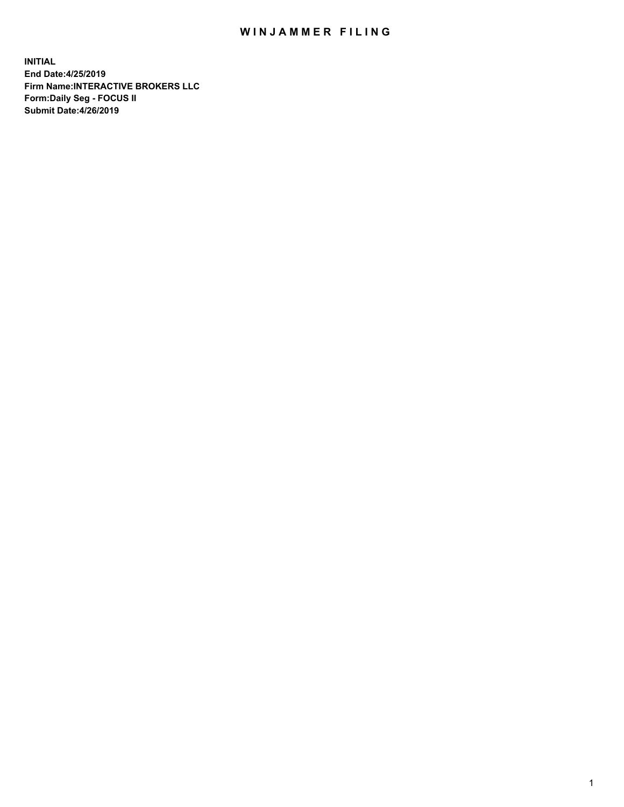## WIN JAMMER FILING

**INITIAL End Date:4/25/2019 Firm Name:INTERACTIVE BROKERS LLC Form:Daily Seg - FOCUS II Submit Date:4/26/2019**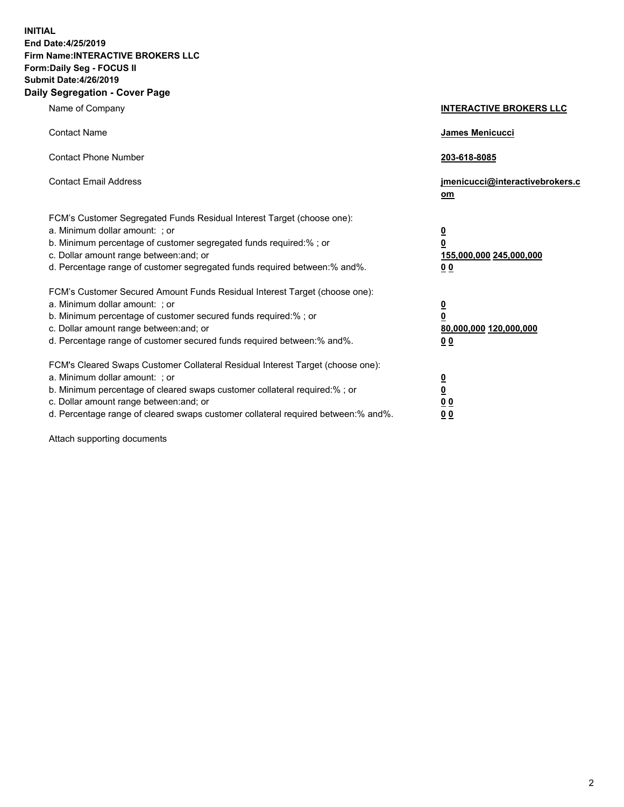**INITIAL End Date:4/25/2019 Firm Name:INTERACTIVE BROKERS LLC Form:Daily Seg - FOCUS II Submit Date:4/26/2019 Daily Segregation - Cover Page**

| Name of Company                                                                                                                                                                                                                                                                                                                | <b>INTERACTIVE BROKERS LLC</b>                                                                  |
|--------------------------------------------------------------------------------------------------------------------------------------------------------------------------------------------------------------------------------------------------------------------------------------------------------------------------------|-------------------------------------------------------------------------------------------------|
| <b>Contact Name</b>                                                                                                                                                                                                                                                                                                            | James Menicucci                                                                                 |
| <b>Contact Phone Number</b>                                                                                                                                                                                                                                                                                                    | 203-618-8085                                                                                    |
| <b>Contact Email Address</b>                                                                                                                                                                                                                                                                                                   | jmenicucci@interactivebrokers.c<br>om                                                           |
| FCM's Customer Segregated Funds Residual Interest Target (choose one):<br>a. Minimum dollar amount: ; or<br>b. Minimum percentage of customer segregated funds required:% ; or<br>c. Dollar amount range between: and; or<br>d. Percentage range of customer segregated funds required between:% and%.                         | $\overline{\mathbf{0}}$<br>$\overline{\mathbf{0}}$<br>155,000,000 245,000,000<br>0 <sub>0</sub> |
| FCM's Customer Secured Amount Funds Residual Interest Target (choose one):<br>a. Minimum dollar amount: ; or<br>b. Minimum percentage of customer secured funds required:% ; or<br>c. Dollar amount range between: and; or<br>d. Percentage range of customer secured funds required between:% and%.                           | $\overline{\mathbf{0}}$<br>0<br>80,000,000 120,000,000<br>0 <sub>0</sub>                        |
| FCM's Cleared Swaps Customer Collateral Residual Interest Target (choose one):<br>a. Minimum dollar amount: ; or<br>b. Minimum percentage of cleared swaps customer collateral required:% ; or<br>c. Dollar amount range between: and; or<br>d. Percentage range of cleared swaps customer collateral required between:% and%. | $\overline{\mathbf{0}}$<br><u>0</u><br>$\underline{0}$ $\underline{0}$<br>00                    |

Attach supporting documents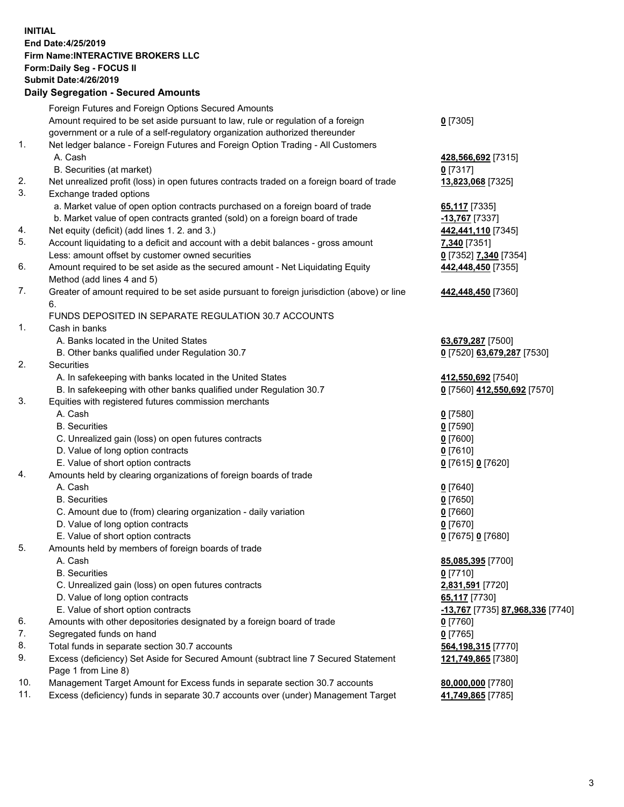## **INITIAL End Date:4/25/2019 Firm Name:INTERACTIVE BROKERS LLC Form:Daily Seg - FOCUS II Submit Date:4/26/2019 Daily Segregation - Secured Amounts**

|          | Daily Segregation - Secured Alliounts                                                                      |                                                |
|----------|------------------------------------------------------------------------------------------------------------|------------------------------------------------|
|          | Foreign Futures and Foreign Options Secured Amounts                                                        |                                                |
|          | Amount required to be set aside pursuant to law, rule or regulation of a foreign                           | $0$ [7305]                                     |
|          | government or a rule of a self-regulatory organization authorized thereunder                               |                                                |
| 1.       | Net ledger balance - Foreign Futures and Foreign Option Trading - All Customers                            |                                                |
|          | A. Cash                                                                                                    | 428,566,692 [7315]                             |
|          | B. Securities (at market)                                                                                  | $0$ [7317]                                     |
| 2.       | Net unrealized profit (loss) in open futures contracts traded on a foreign board of trade                  | 13,823,068 [7325]                              |
| 3.       | Exchange traded options                                                                                    |                                                |
|          | a. Market value of open option contracts purchased on a foreign board of trade                             | 65,117 [7335]                                  |
|          | b. Market value of open contracts granted (sold) on a foreign board of trade                               | -13,767 [7337]                                 |
| 4.       | Net equity (deficit) (add lines 1. 2. and 3.)                                                              | 442,441,110 [7345]                             |
| 5.       | Account liquidating to a deficit and account with a debit balances - gross amount                          | 7,340 [7351]                                   |
|          | Less: amount offset by customer owned securities                                                           | 0 [7352] 7,340 [7354]                          |
| 6.       | Amount required to be set aside as the secured amount - Net Liquidating Equity                             | 442,448,450 [7355]                             |
|          | Method (add lines 4 and 5)                                                                                 |                                                |
| 7.       | Greater of amount required to be set aside pursuant to foreign jurisdiction (above) or line                | 442,448,450 [7360]                             |
|          | 6.                                                                                                         |                                                |
|          | FUNDS DEPOSITED IN SEPARATE REGULATION 30.7 ACCOUNTS                                                       |                                                |
| 1.       | Cash in banks                                                                                              |                                                |
|          | A. Banks located in the United States                                                                      | 63,679,287 [7500]                              |
|          | B. Other banks qualified under Regulation 30.7                                                             | 0 [7520] 63,679,287 [7530]                     |
| 2.       | Securities                                                                                                 |                                                |
|          | A. In safekeeping with banks located in the United States                                                  | 412,550,692 [7540]                             |
|          | B. In safekeeping with other banks qualified under Regulation 30.7                                         | 0 [7560] 412,550,692 [7570]                    |
| 3.       | Equities with registered futures commission merchants                                                      |                                                |
|          | A. Cash                                                                                                    | $0$ [7580]                                     |
|          | <b>B.</b> Securities                                                                                       | $0$ [7590]                                     |
|          | C. Unrealized gain (loss) on open futures contracts                                                        | $0$ [7600]                                     |
|          | D. Value of long option contracts                                                                          | $0$ [7610]                                     |
|          | E. Value of short option contracts                                                                         | 0 [7615] 0 [7620]                              |
| 4.       | Amounts held by clearing organizations of foreign boards of trade                                          |                                                |
|          | A. Cash                                                                                                    | $0$ [7640]                                     |
|          | <b>B.</b> Securities                                                                                       | $0$ [7650]                                     |
|          | C. Amount due to (from) clearing organization - daily variation                                            | $0$ [7660]                                     |
|          | D. Value of long option contracts                                                                          | $0$ [7670]                                     |
|          | E. Value of short option contracts                                                                         | 0 [7675] 0 [7680]                              |
| 5.       | Amounts held by members of foreign boards of trade                                                         |                                                |
|          | A. Cash                                                                                                    | 85,085,395 [7700]                              |
|          | <b>B.</b> Securities                                                                                       | $0$ [7710]                                     |
|          | C. Unrealized gain (loss) on open futures contracts                                                        | 2,831,591 [7720]                               |
|          | D. Value of long option contracts                                                                          | 65,117 [7730]                                  |
|          | E. Value of short option contracts                                                                         | <u>-13,767</u> [7735] <u>87,968,336</u> [7740] |
| 6.       | Amounts with other depositories designated by a foreign board of trade                                     | 0 [7760]                                       |
| 7.<br>8. | Segregated funds on hand                                                                                   | $0$ [7765]                                     |
| 9.       | Total funds in separate section 30.7 accounts                                                              | 564,198,315 [7770]                             |
|          | Excess (deficiency) Set Aside for Secured Amount (subtract line 7 Secured Statement<br>Page 1 from Line 8) | 121,749,865 [7380]                             |
| 10.      | Management Target Amount for Excess funds in separate section 30.7 accounts                                | 80,000,000 [7780]                              |
| 11.      | Excess (deficiency) funds in separate 30.7 accounts over (under) Management Target                         | 41,749,865 [7785]                              |
|          |                                                                                                            |                                                |
|          |                                                                                                            |                                                |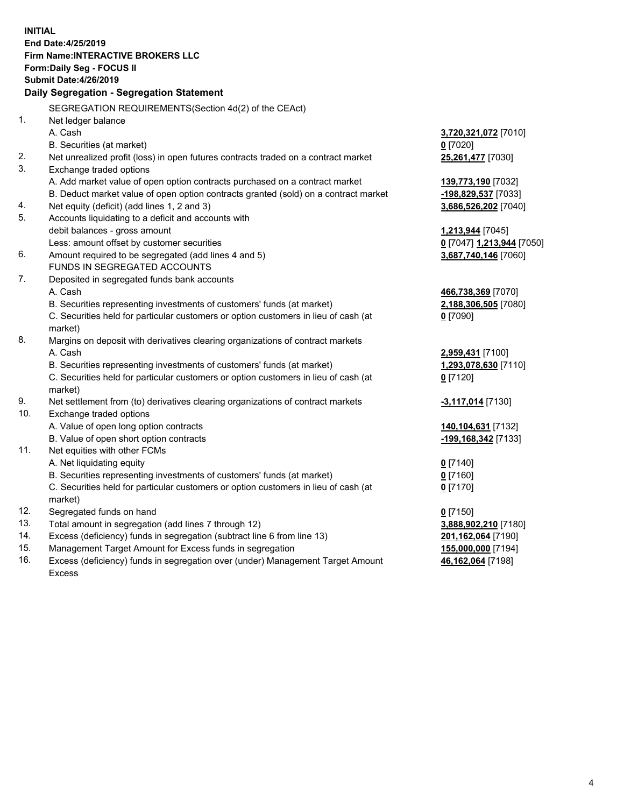**INITIAL End Date:4/25/2019 Firm Name:INTERACTIVE BROKERS LLC Form:Daily Seg - FOCUS II Submit Date:4/26/2019 Daily Segregation - Segregation Statement** SEGREGATION REQUIREMENTS(Section 4d(2) of the CEAct) 1. Net ledger balance A. Cash **3,720,321,072** [7010] B. Securities (at market) **0** [7020] 2. Net unrealized profit (loss) in open futures contracts traded on a contract market **25,261,477** [7030] 3. Exchange traded options A. Add market value of open option contracts purchased on a contract market **139,773,190** [7032] B. Deduct market value of open option contracts granted (sold) on a contract market **-198,829,537** [7033] 4. Net equity (deficit) (add lines 1, 2 and 3) **3,686,526,202** [7040] 5. Accounts liquidating to a deficit and accounts with debit balances - gross amount **1,213,944** [7045] Less: amount offset by customer securities **0** [7047] **1,213,944** [7050] 6. Amount required to be segregated (add lines 4 and 5) **3,687,740,146** [7060] FUNDS IN SEGREGATED ACCOUNTS 7. Deposited in segregated funds bank accounts A. Cash **466,738,369** [7070] B. Securities representing investments of customers' funds (at market) **2,188,306,505** [7080] C. Securities held for particular customers or option customers in lieu of cash (at market) **0** [7090] 8. Margins on deposit with derivatives clearing organizations of contract markets A. Cash **2,959,431** [7100] B. Securities representing investments of customers' funds (at market) **1,293,078,630** [7110] C. Securities held for particular customers or option customers in lieu of cash (at market) **0** [7120] 9. Net settlement from (to) derivatives clearing organizations of contract markets **-3,117,014** [7130] 10. Exchange traded options A. Value of open long option contracts **140,104,631** [7132] B. Value of open short option contracts **-199,168,342** [7133] 11. Net equities with other FCMs A. Net liquidating equity **0** [7140] B. Securities representing investments of customers' funds (at market) **0** [7160] C. Securities held for particular customers or option customers in lieu of cash (at market) **0** [7170] 12. Segregated funds on hand **0** [7150] 13. Total amount in segregation (add lines 7 through 12) **3,888,902,210** [7180] 14. Excess (deficiency) funds in segregation (subtract line 6 from line 13) **201,162,064** [7190] 15. Management Target Amount for Excess funds in segregation **155,000,000** [7194]

16. Excess (deficiency) funds in segregation over (under) Management Target Amount Excess

**46,162,064** [7198]